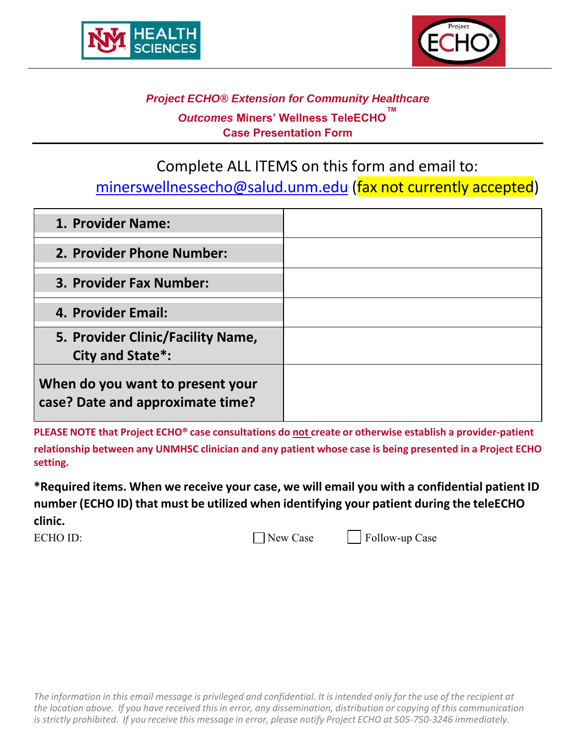



# *Project ECHO® Extension for Community Healthcare Outcomes* **Miners' Wellness TeleECHO™ Case Presentation Form**

Complete ALL ITEMS on this form and email to:

minerswellnessecho@salud.unm.edu (fax not currently accepted)

| 1. Provider Name:                                                    |  |
|----------------------------------------------------------------------|--|
| 2. Provider Phone Number:                                            |  |
| 3. Provider Fax Number:                                              |  |
| 4. Provider Email:                                                   |  |
| 5. Provider Clinic/Facility Name,<br>City and State*:                |  |
| When do you want to present your<br>case? Date and approximate time? |  |

**PLEASE NOTE that Project ECHO® case consultations do not create or otherwise establish a provider‐patient relationship between any UNMHSC clinician and any patient whose case is being presented in a Project ECHO setting.**

**\*Required items. When we receive your case, we will email you with a confidential patient ID number (ECHO ID) that must be utilized when identifying your patient during the teleECHO clinic.**

ECHO ID:  $\Box$  New Case  $\Box$  Follow-up Case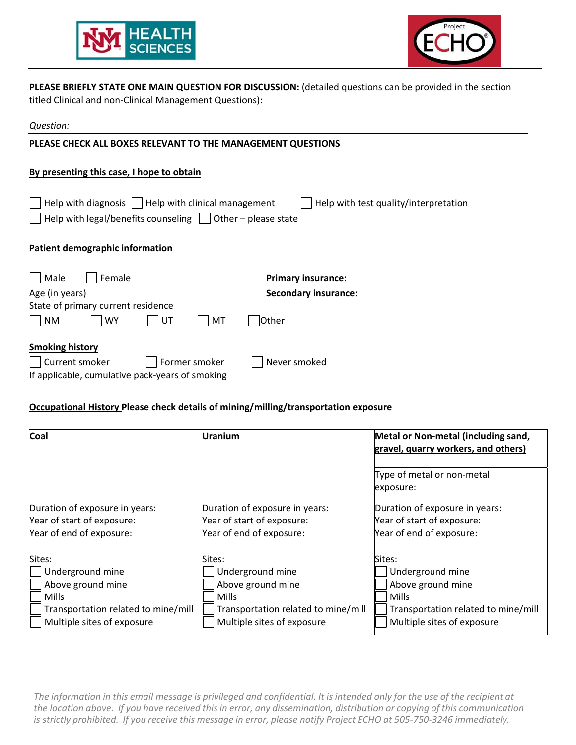



**PLEASE BRIEFLY STATE ONE MAIN QUESTION FOR DISCUSSION:** (detailed questions can be provided in the section titled Clinical and non‐Clinical Management Questions):

| Question:                                                                                                                                                                              |  |  |  |  |
|----------------------------------------------------------------------------------------------------------------------------------------------------------------------------------------|--|--|--|--|
| PLEASE CHECK ALL BOXES RELEVANT TO THE MANAGEMENT QUESTIONS                                                                                                                            |  |  |  |  |
| By presenting this case, I hope to obtain                                                                                                                                              |  |  |  |  |
| Help with diagnosis $\vert \ \vert$ Help with clinical management<br>Help with test quality/interpretation<br>Help with legal/benefits counseling $\vert$ $\vert$ Other – please state |  |  |  |  |
| Patient demographic information                                                                                                                                                        |  |  |  |  |
| Male<br>Female<br><b>Primary insurance:</b>                                                                                                                                            |  |  |  |  |
| Age (in years)<br><b>Secondary insurance:</b>                                                                                                                                          |  |  |  |  |
| State of primary current residence                                                                                                                                                     |  |  |  |  |
| <b>NM</b><br>UT<br><b>WY</b><br><b>Other</b><br>МT                                                                                                                                     |  |  |  |  |
| <b>Smoking history</b><br>Current smoker<br>Former smoker<br>Never smoked<br>If applicable, cumulative pack-years of smoking                                                           |  |  |  |  |

#### **Occupational History Please check details of mining/milling/transportation exposure**

| Coal                                | Uranium                             | Metal or Non-metal (including sand,<br>gravel, quarry workers, and others) |  |
|-------------------------------------|-------------------------------------|----------------------------------------------------------------------------|--|
|                                     |                                     | Type of metal or non-metal<br>exposure:                                    |  |
| Duration of exposure in years:      | Duration of exposure in years:      | Duration of exposure in years:                                             |  |
| Year of start of exposure:          | Year of start of exposure:          | Year of start of exposure:                                                 |  |
| Year of end of exposure:            | Year of end of exposure:            | Year of end of exposure:                                                   |  |
| Sites:                              | Sites:                              | Sites:                                                                     |  |
| Underground mine                    | Underground mine                    | Underground mine                                                           |  |
| Above ground mine                   | Above ground mine                   | Above ground mine                                                          |  |
| Mills                               | <b>Mills</b>                        | Mills                                                                      |  |
| Transportation related to mine/mill | Transportation related to mine/mill | Transportation related to mine/mill                                        |  |
| Multiple sites of exposure          | Multiple sites of exposure          | Multiple sites of exposure                                                 |  |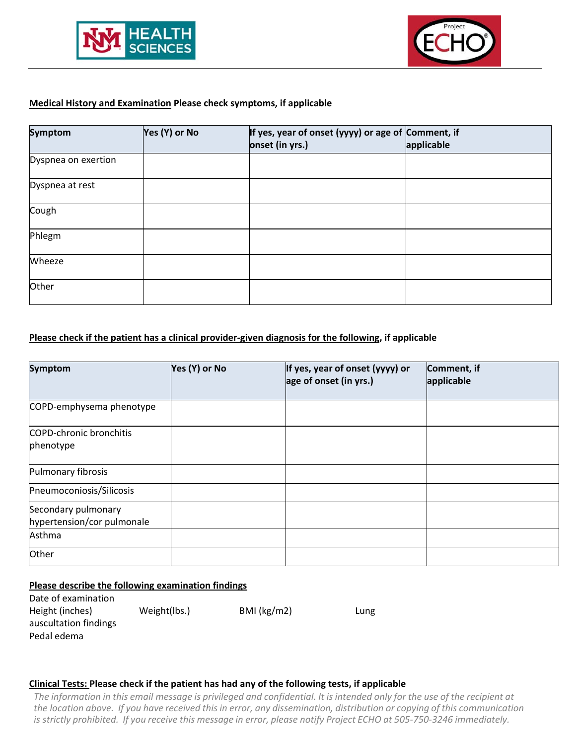



### **Medical History and Examination Please check symptoms, if applicable**

| <b>Symptom</b>      | Yes (Y) or No | If yes, year of onset (yyyy) or age of Comment, if<br>onset (in yrs.) | applicable |
|---------------------|---------------|-----------------------------------------------------------------------|------------|
| Dyspnea on exertion |               |                                                                       |            |
| Dyspnea at rest     |               |                                                                       |            |
| Cough               |               |                                                                       |            |
| Phlegm              |               |                                                                       |            |
| Wheeze              |               |                                                                       |            |
| Other               |               |                                                                       |            |

#### **Please check if the patient has a clinical provider‐given diagnosis for the following, if applicable**

| Symptom                                           | Yes (Y) or No | If yes, year of onset (yyyy) or<br>age of onset (in yrs.) | Comment, if<br>applicable |
|---------------------------------------------------|---------------|-----------------------------------------------------------|---------------------------|
| COPD-emphysema phenotype                          |               |                                                           |                           |
| <b>COPD-chronic bronchitis</b><br>phenotype       |               |                                                           |                           |
| Pulmonary fibrosis                                |               |                                                           |                           |
| Pneumoconiosis/Silicosis                          |               |                                                           |                           |
| Secondary pulmonary<br>hypertension/cor pulmonale |               |                                                           |                           |
| Asthma                                            |               |                                                           |                           |
| Other                                             |               |                                                           |                           |

#### **Please describe the following examination findings**

| Date of examination   |              |             |      |
|-----------------------|--------------|-------------|------|
| Height (inches)       | Weight(lbs.) | BMI (kg/m2) | Lung |
| auscultation findings |              |             |      |
| Pedal edema           |              |             |      |

#### **Clinical Tests: Please check if the patient has had any of the following tests, if applicable**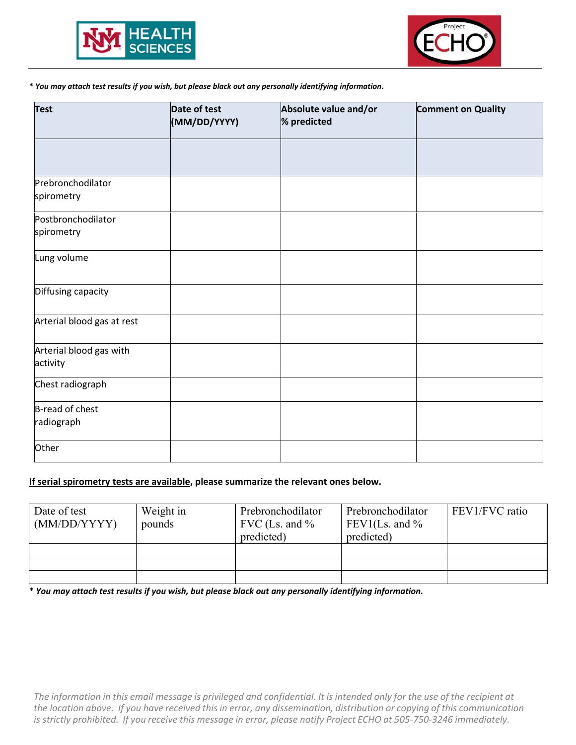



#### **\*** *You may attach test results if you wish, but please black out any personally identifying information***.**

| <b>Test</b>                         | Date of test<br>(MM/DD/YYYY) | Absolute value and/or<br>% predicted | <b>Comment on Quality</b> |  |  |
|-------------------------------------|------------------------------|--------------------------------------|---------------------------|--|--|
|                                     |                              |                                      |                           |  |  |
| Prebronchodilator<br>spirometry     |                              |                                      |                           |  |  |
| Postbronchodilator<br>spirometry    |                              |                                      |                           |  |  |
| Lung volume                         |                              |                                      |                           |  |  |
| Diffusing capacity                  |                              |                                      |                           |  |  |
| Arterial blood gas at rest          |                              |                                      |                           |  |  |
| Arterial blood gas with<br>activity |                              |                                      |                           |  |  |
| Chest radiograph                    |                              |                                      |                           |  |  |
| B-read of chest<br>radiograph       |                              |                                      |                           |  |  |
| Other                               |                              |                                      |                           |  |  |

#### **If serial spirometry tests are available, please summarize the relevant ones below.**

| Date of test<br>(MM/DD/YYYY) | Weight in<br>pounds | Prebronchodilator<br>FVC (Ls. and $\%$<br>predicted) | Prebronchodilator<br>FEV1(Ls. and $\%$<br>predicted) | FEV1/FVC ratio |
|------------------------------|---------------------|------------------------------------------------------|------------------------------------------------------|----------------|
|                              |                     |                                                      |                                                      |                |
|                              |                     |                                                      |                                                      |                |
|                              |                     |                                                      |                                                      |                |

\* *You may attach test results if you wish, but please black out any personally identifying information.*